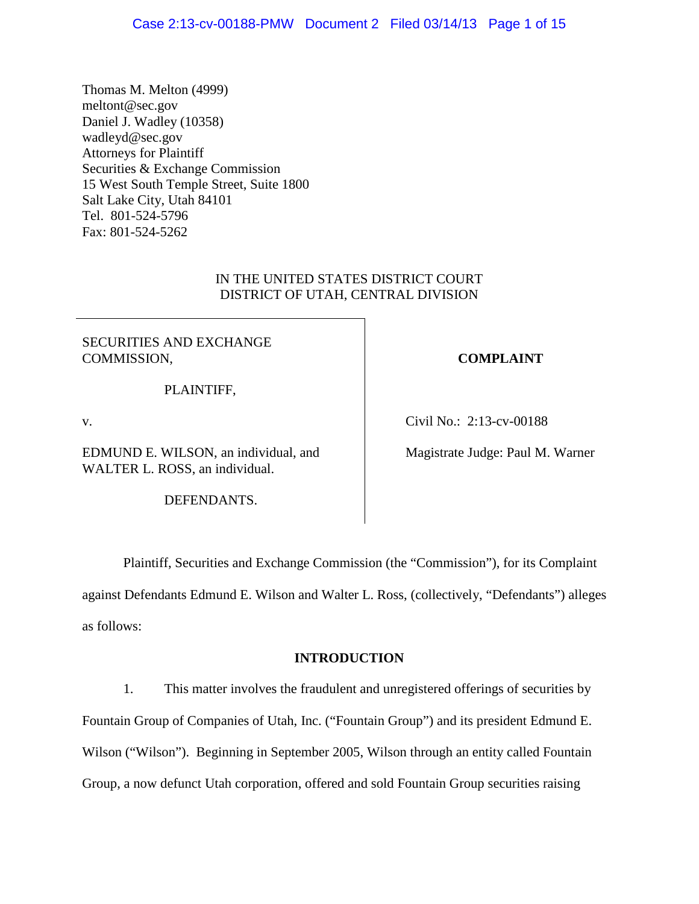Thomas M. Melton (4999) meltont@sec.gov Daniel J. Wadley (10358) wadleyd@sec.gov Attorneys for Plaintiff Securities & Exchange Commission 15 West South Temple Street, Suite 1800 Salt Lake City, Utah 84101 Tel. 801-524-5796 Fax: 801-524-5262

# IN THE UNITED STATES DISTRICT COURT DISTRICT OF UTAH, CENTRAL DIVISION

# SECURITIES AND EXCHANGE COMMISSION,

PLAINTIFF,

v.

EDMUND E. WILSON, an individual, and WALTER L. ROSS, an individual.

DEFENDANTS.

# **COMPLAINT**

Civil No.: 2:13-cv-00188

Magistrate Judge: Paul M. Warner

Plaintiff, Securities and Exchange Commission (the "Commission"), for its Complaint against Defendants Edmund E. Wilson and Walter L. Ross, (collectively, "Defendants") alleges as follows:

# **INTRODUCTION**

1. This matter involves the fraudulent and unregistered offerings of securities by Fountain Group of Companies of Utah, Inc. ("Fountain Group") and its president Edmund E. Wilson ("Wilson"). Beginning in September 2005, Wilson through an entity called Fountain Group, a now defunct Utah corporation, offered and sold Fountain Group securities raising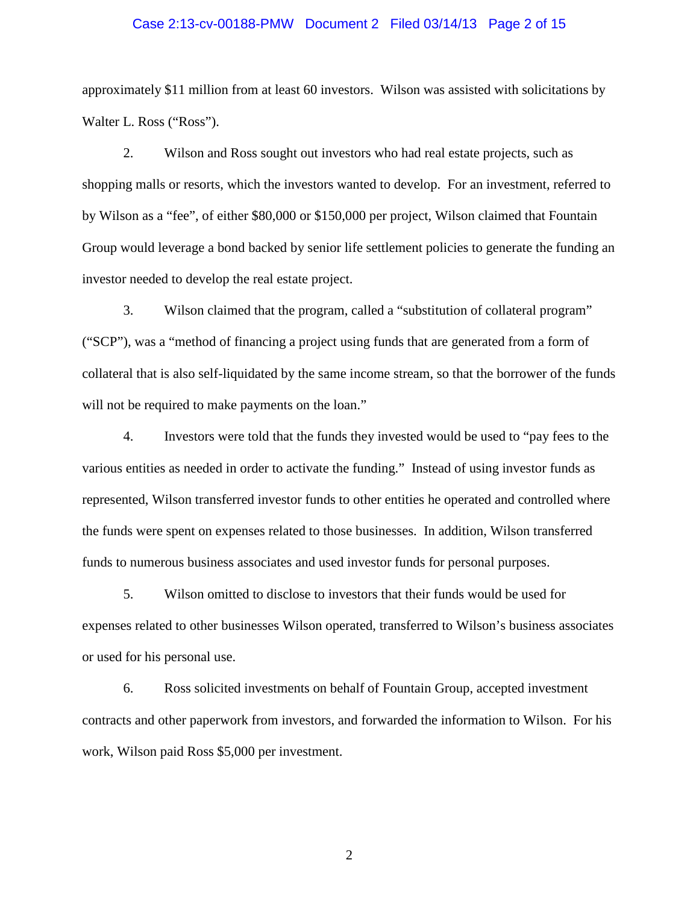## Case 2:13-cv-00188-PMW Document 2 Filed 03/14/13 Page 2 of 15

approximately \$11 million from at least 60 investors. Wilson was assisted with solicitations by Walter L. Ross ("Ross").

2. Wilson and Ross sought out investors who had real estate projects, such as shopping malls or resorts, which the investors wanted to develop. For an investment, referred to by Wilson as a "fee", of either \$80,000 or \$150,000 per project, Wilson claimed that Fountain Group would leverage a bond backed by senior life settlement policies to generate the funding an investor needed to develop the real estate project.

3. Wilson claimed that the program, called a "substitution of collateral program" ("SCP"), was a "method of financing a project using funds that are generated from a form of collateral that is also self-liquidated by the same income stream, so that the borrower of the funds will not be required to make payments on the loan."

4. Investors were told that the funds they invested would be used to "pay fees to the various entities as needed in order to activate the funding." Instead of using investor funds as represented, Wilson transferred investor funds to other entities he operated and controlled where the funds were spent on expenses related to those businesses. In addition, Wilson transferred funds to numerous business associates and used investor funds for personal purposes.

5. Wilson omitted to disclose to investors that their funds would be used for expenses related to other businesses Wilson operated, transferred to Wilson's business associates or used for his personal use.

6. Ross solicited investments on behalf of Fountain Group, accepted investment contracts and other paperwork from investors, and forwarded the information to Wilson. For his work, Wilson paid Ross \$5,000 per investment.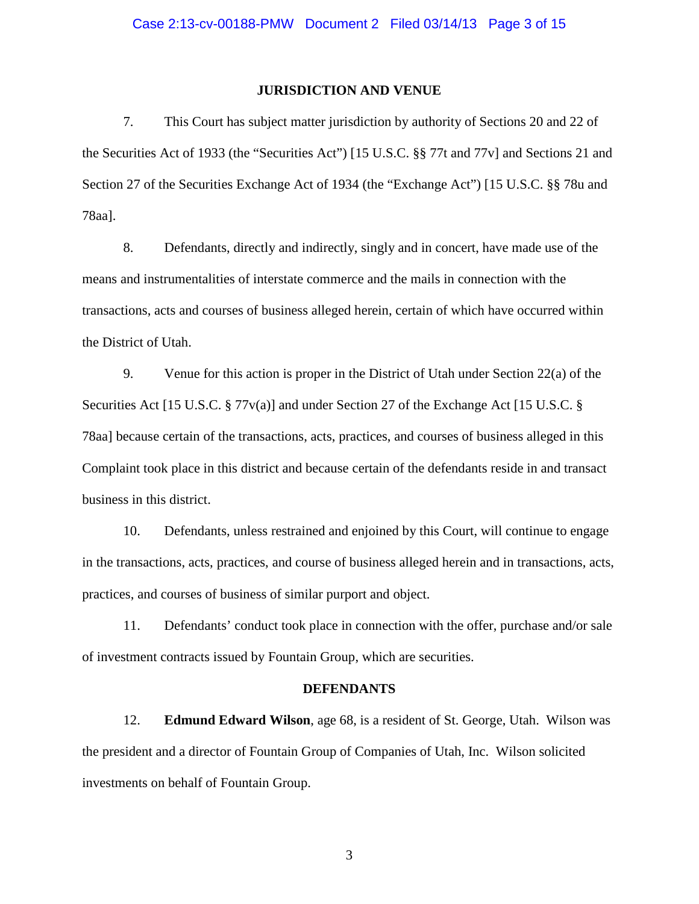## **JURISDICTION AND VENUE**

7. This Court has subject matter jurisdiction by authority of Sections 20 and 22 of the Securities Act of 1933 (the "Securities Act") [15 U.S.C. §§ 77t and 77v] and Sections 21 and Section 27 of the Securities Exchange Act of 1934 (the "Exchange Act") [15 U.S.C. §§ 78u and 78aa].

8. Defendants, directly and indirectly, singly and in concert, have made use of the means and instrumentalities of interstate commerce and the mails in connection with the transactions, acts and courses of business alleged herein, certain of which have occurred within the District of Utah.

9. Venue for this action is proper in the District of Utah under Section 22(a) of the Securities Act [15 U.S.C. § 77 $v(a)$ ] and under Section 27 of the Exchange Act [15 U.S.C. § 78aa] because certain of the transactions, acts, practices, and courses of business alleged in this Complaint took place in this district and because certain of the defendants reside in and transact business in this district.

10. Defendants, unless restrained and enjoined by this Court, will continue to engage in the transactions, acts, practices, and course of business alleged herein and in transactions, acts, practices, and courses of business of similar purport and object.

11. Defendants' conduct took place in connection with the offer, purchase and/or sale of investment contracts issued by Fountain Group, which are securities.

#### **DEFENDANTS**

12. **Edmund Edward Wilson**, age 68, is a resident of St. George, Utah. Wilson was the president and a director of Fountain Group of Companies of Utah, Inc. Wilson solicited investments on behalf of Fountain Group.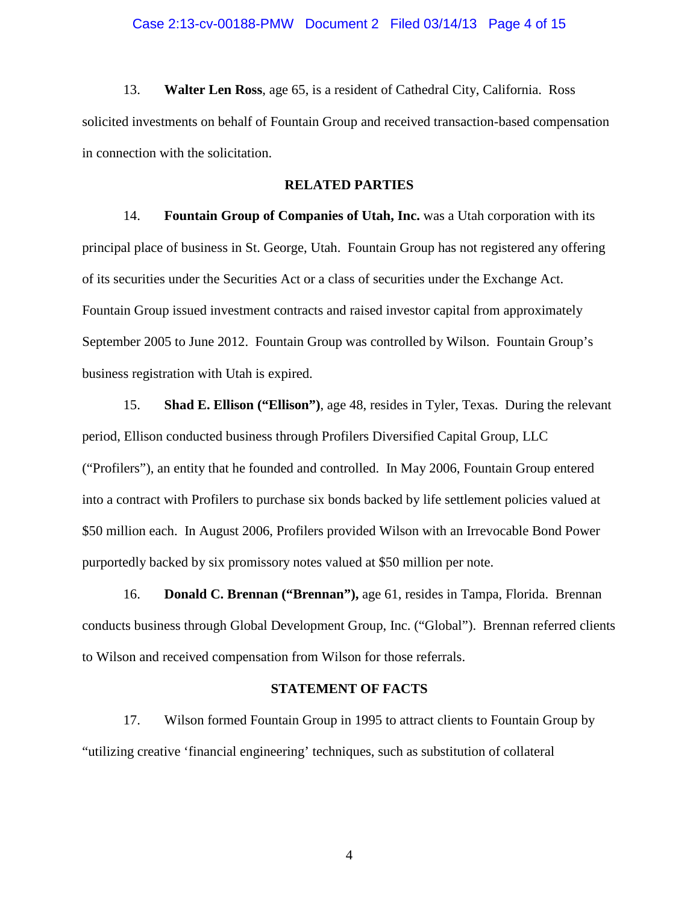13. **Walter Len Ross**, age 65, is a resident of Cathedral City, California. Ross solicited investments on behalf of Fountain Group and received transaction-based compensation in connection with the solicitation.

## **RELATED PARTIES**

14. **Fountain Group of Companies of Utah, Inc.** was a Utah corporation with its principal place of business in St. George, Utah. Fountain Group has not registered any offering of its securities under the Securities Act or a class of securities under the Exchange Act. Fountain Group issued investment contracts and raised investor capital from approximately September 2005 to June 2012. Fountain Group was controlled by Wilson. Fountain Group's business registration with Utah is expired.

15. **Shad E. Ellison ("Ellison")**, age 48, resides in Tyler, Texas. During the relevant period, Ellison conducted business through Profilers Diversified Capital Group, LLC ("Profilers"), an entity that he founded and controlled. In May 2006, Fountain Group entered into a contract with Profilers to purchase six bonds backed by life settlement policies valued at \$50 million each. In August 2006, Profilers provided Wilson with an Irrevocable Bond Power purportedly backed by six promissory notes valued at \$50 million per note.

16. **Donald C. Brennan ("Brennan"),** age 61, resides in Tampa, Florida. Brennan conducts business through Global Development Group, Inc. ("Global"). Brennan referred clients to Wilson and received compensation from Wilson for those referrals.

#### **STATEMENT OF FACTS**

17. Wilson formed Fountain Group in 1995 to attract clients to Fountain Group by "utilizing creative 'financial engineering' techniques, such as substitution of collateral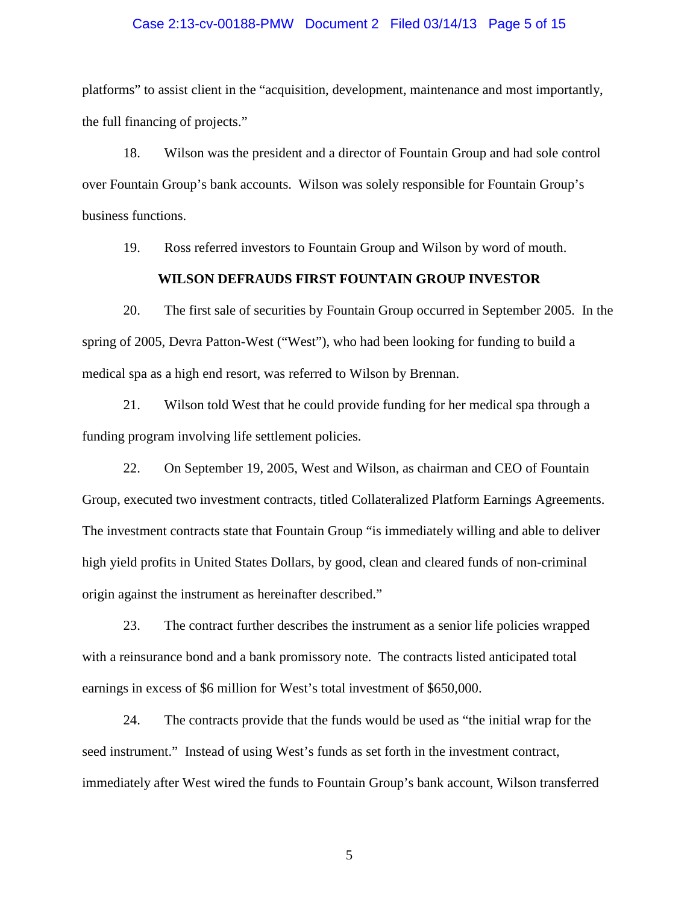## Case 2:13-cv-00188-PMW Document 2 Filed 03/14/13 Page 5 of 15

platforms" to assist client in the "acquisition, development, maintenance and most importantly, the full financing of projects."

18. Wilson was the president and a director of Fountain Group and had sole control over Fountain Group's bank accounts. Wilson was solely responsible for Fountain Group's business functions.

19. Ross referred investors to Fountain Group and Wilson by word of mouth.

## **WILSON DEFRAUDS FIRST FOUNTAIN GROUP INVESTOR**

20. The first sale of securities by Fountain Group occurred in September 2005. In the spring of 2005, Devra Patton-West ("West"), who had been looking for funding to build a medical spa as a high end resort, was referred to Wilson by Brennan.

21. Wilson told West that he could provide funding for her medical spa through a funding program involving life settlement policies.

22. On September 19, 2005, West and Wilson, as chairman and CEO of Fountain Group, executed two investment contracts, titled Collateralized Platform Earnings Agreements. The investment contracts state that Fountain Group "is immediately willing and able to deliver high yield profits in United States Dollars, by good, clean and cleared funds of non-criminal origin against the instrument as hereinafter described."

23. The contract further describes the instrument as a senior life policies wrapped with a reinsurance bond and a bank promissory note. The contracts listed anticipated total earnings in excess of \$6 million for West's total investment of \$650,000.

24. The contracts provide that the funds would be used as "the initial wrap for the seed instrument." Instead of using West's funds as set forth in the investment contract, immediately after West wired the funds to Fountain Group's bank account, Wilson transferred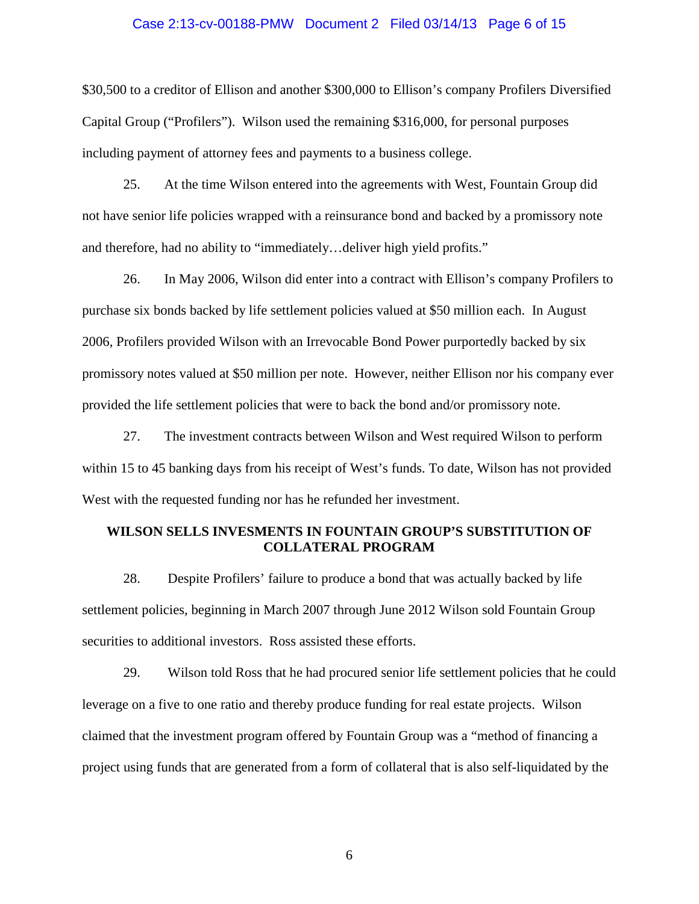## Case 2:13-cv-00188-PMW Document 2 Filed 03/14/13 Page 6 of 15

\$30,500 to a creditor of Ellison and another \$300,000 to Ellison's company Profilers Diversified Capital Group ("Profilers"). Wilson used the remaining \$316,000, for personal purposes including payment of attorney fees and payments to a business college.

25. At the time Wilson entered into the agreements with West, Fountain Group did not have senior life policies wrapped with a reinsurance bond and backed by a promissory note and therefore, had no ability to "immediately…deliver high yield profits."

26. In May 2006, Wilson did enter into a contract with Ellison's company Profilers to purchase six bonds backed by life settlement policies valued at \$50 million each. In August 2006, Profilers provided Wilson with an Irrevocable Bond Power purportedly backed by six promissory notes valued at \$50 million per note. However, neither Ellison nor his company ever provided the life settlement policies that were to back the bond and/or promissory note.

27. The investment contracts between Wilson and West required Wilson to perform within 15 to 45 banking days from his receipt of West's funds. To date, Wilson has not provided West with the requested funding nor has he refunded her investment.

## **WILSON SELLS INVESMENTS IN FOUNTAIN GROUP'S SUBSTITUTION OF COLLATERAL PROGRAM**

28. Despite Profilers' failure to produce a bond that was actually backed by life settlement policies, beginning in March 2007 through June 2012 Wilson sold Fountain Group securities to additional investors. Ross assisted these efforts.

29. Wilson told Ross that he had procured senior life settlement policies that he could leverage on a five to one ratio and thereby produce funding for real estate projects. Wilson claimed that the investment program offered by Fountain Group was a "method of financing a project using funds that are generated from a form of collateral that is also self-liquidated by the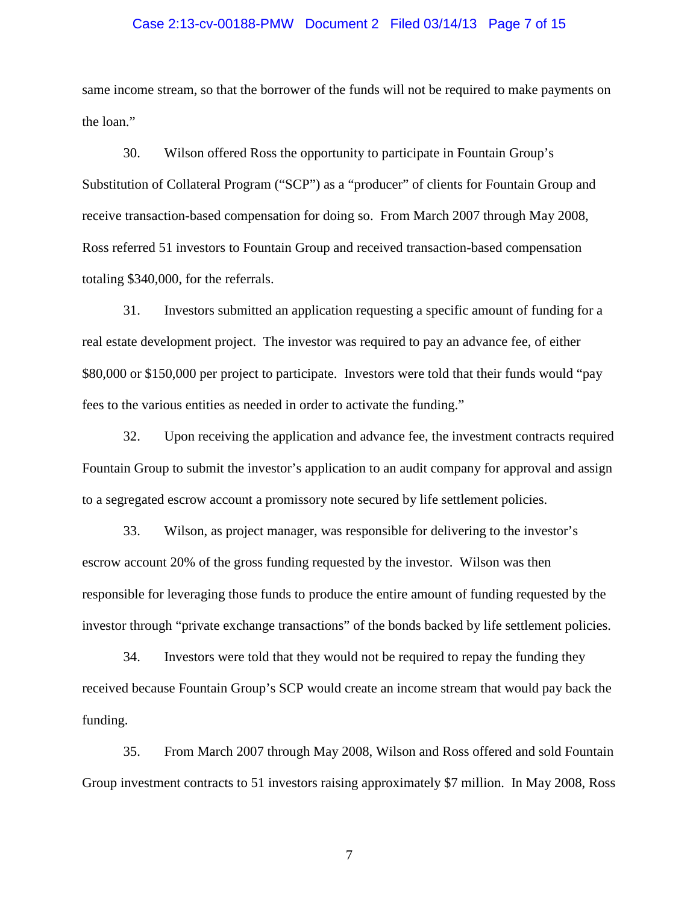## Case 2:13-cv-00188-PMW Document 2 Filed 03/14/13 Page 7 of 15

same income stream, so that the borrower of the funds will not be required to make payments on the loan."

30. Wilson offered Ross the opportunity to participate in Fountain Group's Substitution of Collateral Program ("SCP") as a "producer" of clients for Fountain Group and receive transaction-based compensation for doing so. From March 2007 through May 2008, Ross referred 51 investors to Fountain Group and received transaction-based compensation totaling \$340,000, for the referrals.

31. Investors submitted an application requesting a specific amount of funding for a real estate development project. The investor was required to pay an advance fee, of either \$80,000 or \$150,000 per project to participate. Investors were told that their funds would "pay fees to the various entities as needed in order to activate the funding."

32. Upon receiving the application and advance fee, the investment contracts required Fountain Group to submit the investor's application to an audit company for approval and assign to a segregated escrow account a promissory note secured by life settlement policies.

33. Wilson, as project manager, was responsible for delivering to the investor's escrow account 20% of the gross funding requested by the investor. Wilson was then responsible for leveraging those funds to produce the entire amount of funding requested by the investor through "private exchange transactions" of the bonds backed by life settlement policies.

34. Investors were told that they would not be required to repay the funding they received because Fountain Group's SCP would create an income stream that would pay back the funding.

35. From March 2007 through May 2008, Wilson and Ross offered and sold Fountain Group investment contracts to 51 investors raising approximately \$7 million. In May 2008, Ross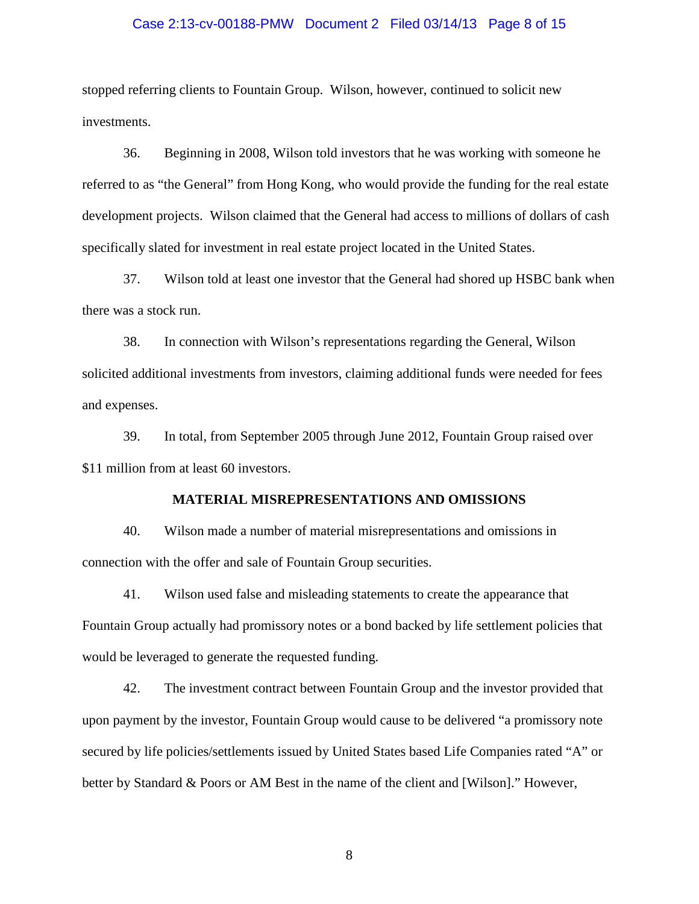## Case 2:13-cv-00188-PMW Document 2 Filed 03/14/13 Page 8 of 15

stopped referring clients to Fountain Group. Wilson, however, continued to solicit new investments.

36. Beginning in 2008, Wilson told investors that he was working with someone he referred to as "the General" from Hong Kong, who would provide the funding for the real estate development projects. Wilson claimed that the General had access to millions of dollars of cash specifically slated for investment in real estate project located in the United States.

37. Wilson told at least one investor that the General had shored up HSBC bank when there was a stock run.

38. In connection with Wilson's representations regarding the General, Wilson solicited additional investments from investors, claiming additional funds were needed for fees and expenses.

39. In total, from September 2005 through June 2012, Fountain Group raised over \$11 million from at least 60 investors.

## **MATERIAL MISREPRESENTATIONS AND OMISSIONS**

40. Wilson made a number of material misrepresentations and omissions in connection with the offer and sale of Fountain Group securities.

41. Wilson used false and misleading statements to create the appearance that Fountain Group actually had promissory notes or a bond backed by life settlement policies that would be leveraged to generate the requested funding.

42. The investment contract between Fountain Group and the investor provided that upon payment by the investor, Fountain Group would cause to be delivered "a promissory note secured by life policies/settlements issued by United States based Life Companies rated "A" or better by Standard & Poors or AM Best in the name of the client and [Wilson]." However,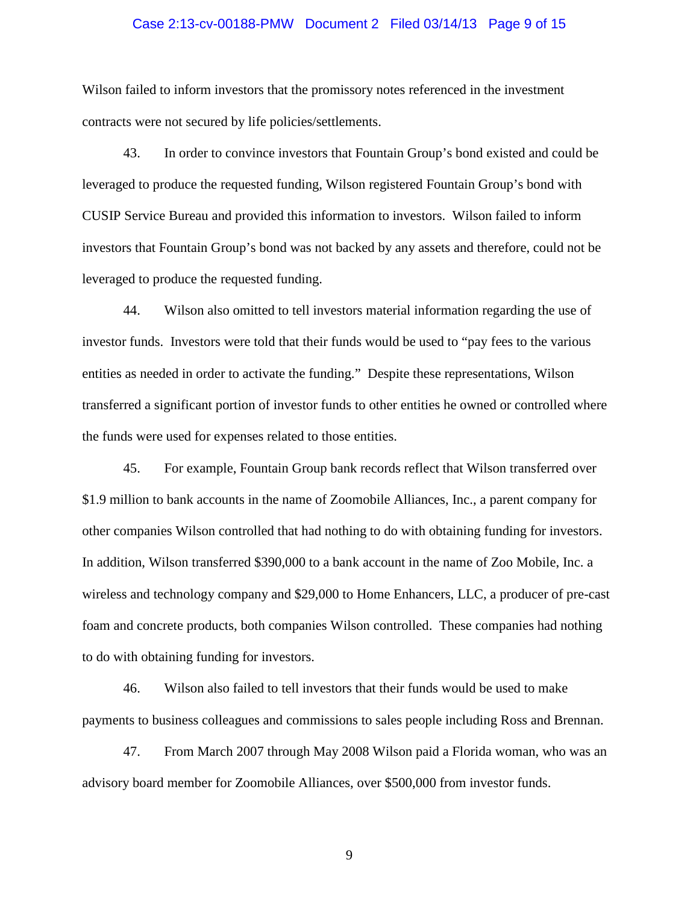## Case 2:13-cv-00188-PMW Document 2 Filed 03/14/13 Page 9 of 15

Wilson failed to inform investors that the promissory notes referenced in the investment contracts were not secured by life policies/settlements.

43. In order to convince investors that Fountain Group's bond existed and could be leveraged to produce the requested funding, Wilson registered Fountain Group's bond with CUSIP Service Bureau and provided this information to investors. Wilson failed to inform investors that Fountain Group's bond was not backed by any assets and therefore, could not be leveraged to produce the requested funding.

44. Wilson also omitted to tell investors material information regarding the use of investor funds. Investors were told that their funds would be used to "pay fees to the various entities as needed in order to activate the funding." Despite these representations, Wilson transferred a significant portion of investor funds to other entities he owned or controlled where the funds were used for expenses related to those entities.

45. For example, Fountain Group bank records reflect that Wilson transferred over \$1.9 million to bank accounts in the name of Zoomobile Alliances, Inc., a parent company for other companies Wilson controlled that had nothing to do with obtaining funding for investors. In addition, Wilson transferred \$390,000 to a bank account in the name of Zoo Mobile, Inc. a wireless and technology company and \$29,000 to Home Enhancers, LLC, a producer of pre-cast foam and concrete products, both companies Wilson controlled. These companies had nothing to do with obtaining funding for investors.

46. Wilson also failed to tell investors that their funds would be used to make payments to business colleagues and commissions to sales people including Ross and Brennan.

47. From March 2007 through May 2008 Wilson paid a Florida woman, who was an advisory board member for Zoomobile Alliances, over \$500,000 from investor funds.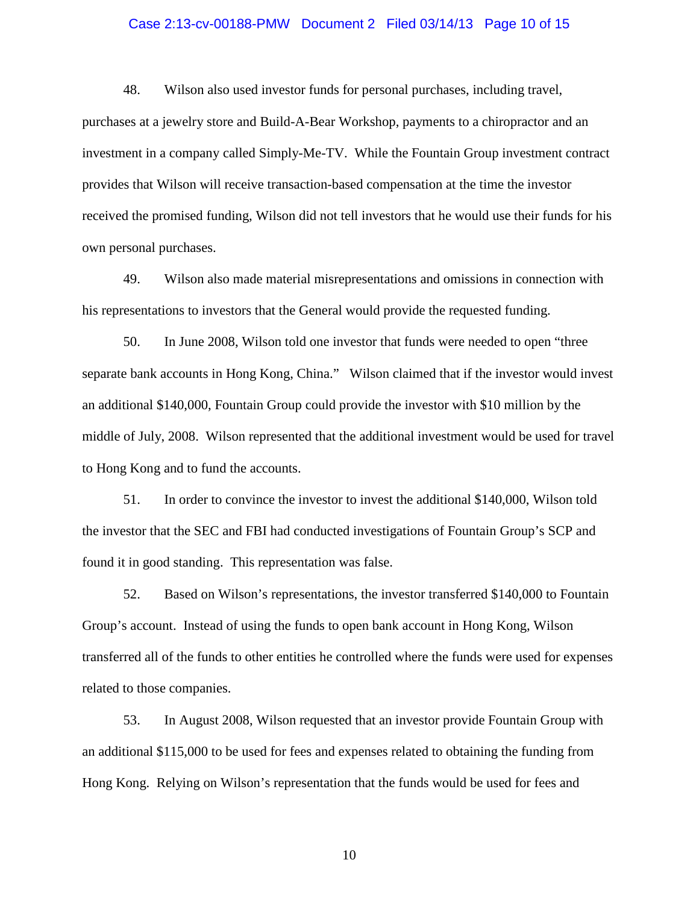## Case 2:13-cv-00188-PMW Document 2 Filed 03/14/13 Page 10 of 15

48. Wilson also used investor funds for personal purchases, including travel, purchases at a jewelry store and Build-A-Bear Workshop, payments to a chiropractor and an investment in a company called Simply-Me-TV. While the Fountain Group investment contract provides that Wilson will receive transaction-based compensation at the time the investor received the promised funding, Wilson did not tell investors that he would use their funds for his own personal purchases.

49. Wilson also made material misrepresentations and omissions in connection with his representations to investors that the General would provide the requested funding.

50. In June 2008, Wilson told one investor that funds were needed to open "three separate bank accounts in Hong Kong, China." Wilson claimed that if the investor would invest an additional \$140,000, Fountain Group could provide the investor with \$10 million by the middle of July, 2008. Wilson represented that the additional investment would be used for travel to Hong Kong and to fund the accounts.

51. In order to convince the investor to invest the additional \$140,000, Wilson told the investor that the SEC and FBI had conducted investigations of Fountain Group's SCP and found it in good standing. This representation was false.

52. Based on Wilson's representations, the investor transferred \$140,000 to Fountain Group's account. Instead of using the funds to open bank account in Hong Kong, Wilson transferred all of the funds to other entities he controlled where the funds were used for expenses related to those companies.

53. In August 2008, Wilson requested that an investor provide Fountain Group with an additional \$115,000 to be used for fees and expenses related to obtaining the funding from Hong Kong. Relying on Wilson's representation that the funds would be used for fees and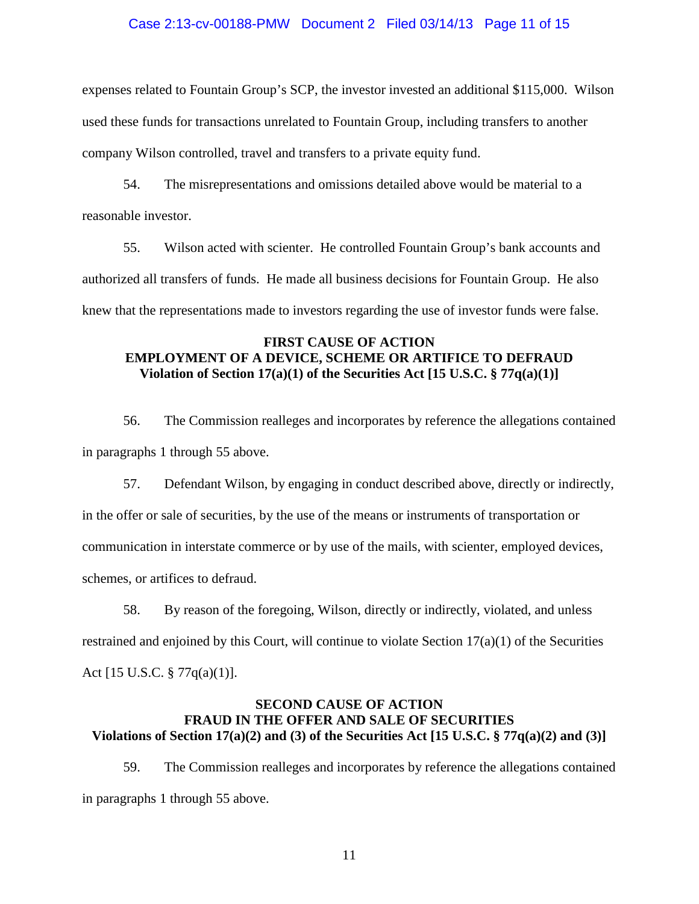## Case 2:13-cv-00188-PMW Document 2 Filed 03/14/13 Page 11 of 15

expenses related to Fountain Group's SCP, the investor invested an additional \$115,000. Wilson used these funds for transactions unrelated to Fountain Group, including transfers to another company Wilson controlled, travel and transfers to a private equity fund.

54. The misrepresentations and omissions detailed above would be material to a reasonable investor.

55. Wilson acted with scienter. He controlled Fountain Group's bank accounts and authorized all transfers of funds. He made all business decisions for Fountain Group. He also knew that the representations made to investors regarding the use of investor funds were false.

## **FIRST CAUSE OF ACTION EMPLOYMENT OF A DEVICE, SCHEME OR ARTIFICE TO DEFRAUD Violation of Section 17(a)(1) of the Securities Act [15 U.S.C. § 77q(a)(1)]**

56. The Commission realleges and incorporates by reference the allegations contained in paragraphs 1 through 55 above.

57. Defendant Wilson, by engaging in conduct described above, directly or indirectly, in the offer or sale of securities, by the use of the means or instruments of transportation or communication in interstate commerce or by use of the mails, with scienter, employed devices, schemes, or artifices to defraud.

58. By reason of the foregoing, Wilson, directly or indirectly, violated, and unless restrained and enjoined by this Court, will continue to violate Section 17(a)(1) of the Securities Act [15 U.S.C. § 77q(a)(1)].

## **SECOND CAUSE OF ACTION FRAUD IN THE OFFER AND SALE OF SECURITIES Violations of Section 17(a)(2) and (3) of the Securities Act [15 U.S.C. § 77q(a)(2) and (3)]**

59. The Commission realleges and incorporates by reference the allegations contained in paragraphs 1 through 55 above.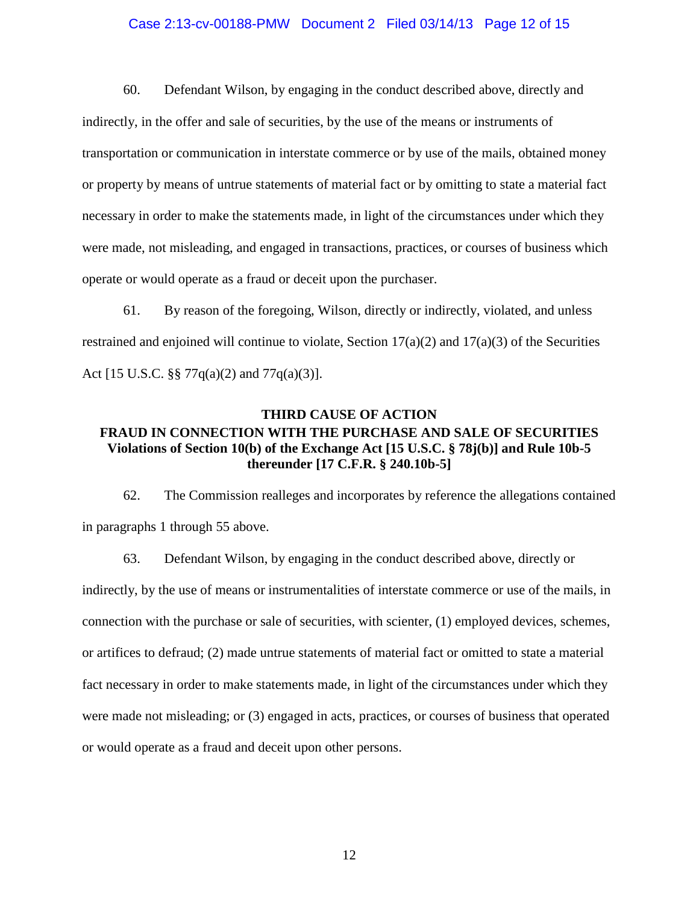## Case 2:13-cv-00188-PMW Document 2 Filed 03/14/13 Page 12 of 15

60. Defendant Wilson, by engaging in the conduct described above, directly and indirectly, in the offer and sale of securities, by the use of the means or instruments of transportation or communication in interstate commerce or by use of the mails, obtained money or property by means of untrue statements of material fact or by omitting to state a material fact necessary in order to make the statements made, in light of the circumstances under which they were made, not misleading, and engaged in transactions, practices, or courses of business which operate or would operate as a fraud or deceit upon the purchaser.

61. By reason of the foregoing, Wilson, directly or indirectly, violated, and unless restrained and enjoined will continue to violate, Section  $17(a)(2)$  and  $17(a)(3)$  of the Securities Act [15 U.S.C. §§ 77q(a)(2) and 77q(a)(3)].

# **THIRD CAUSE OF ACTION FRAUD IN CONNECTION WITH THE PURCHASE AND SALE OF SECURITIES Violations of Section 10(b) of the Exchange Act [15 U.S.C. § 78j(b)] and Rule 10b-5 thereunder [17 C.F.R. § 240.10b-5]**

62. The Commission realleges and incorporates by reference the allegations contained in paragraphs 1 through 55 above.

63. Defendant Wilson, by engaging in the conduct described above, directly or indirectly, by the use of means or instrumentalities of interstate commerce or use of the mails, in connection with the purchase or sale of securities, with scienter, (1) employed devices, schemes, or artifices to defraud; (2) made untrue statements of material fact or omitted to state a material fact necessary in order to make statements made, in light of the circumstances under which they were made not misleading; or (3) engaged in acts, practices, or courses of business that operated or would operate as a fraud and deceit upon other persons.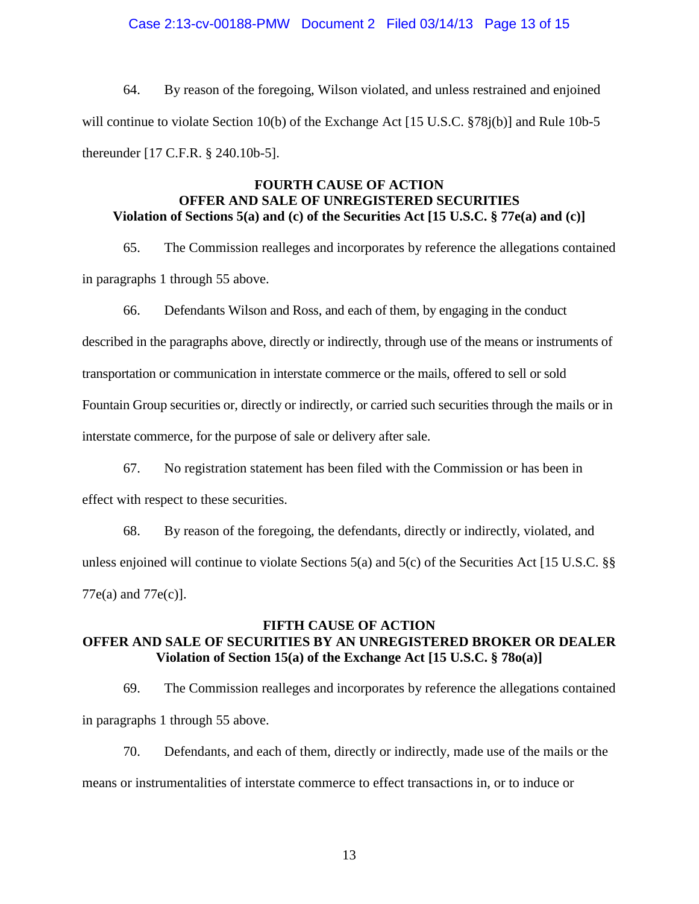## Case 2:13-cv-00188-PMW Document 2 Filed 03/14/13 Page 13 of 15

64. By reason of the foregoing, Wilson violated, and unless restrained and enjoined will continue to violate Section 10(b) of the Exchange Act [15 U.S.C. §78 $j(b)$ ] and Rule 10b-5 thereunder [17 C.F.R. § 240.10b-5].

## **FOURTH CAUSE OF ACTION OFFER AND SALE OF UNREGISTERED SECURITIES Violation of Sections 5(a) and (c) of the Securities Act [15 U.S.C. § 77e(a) and (c)]**

65. The Commission realleges and incorporates by reference the allegations contained in paragraphs 1 through 55 above.

66. Defendants Wilson and Ross, and each of them, by engaging in the conduct

described in the paragraphs above, directly or indirectly, through use of the means or instruments of

transportation or communication in interstate commerce or the mails, offered to sell or sold

Fountain Group securities or, directly or indirectly, or carried such securities through the mails or in

interstate commerce, for the purpose of sale or delivery after sale.

67. No registration statement has been filed with the Commission or has been in

effect with respect to these securities.

68. By reason of the foregoing, the defendants, directly or indirectly, violated, and unless enjoined will continue to violate Sections 5(a) and 5(c) of the Securities Act [15 U.S.C. §§ 77e(a) and 77e(c)].

## **FIFTH CAUSE OF ACTION OFFER AND SALE OF SECURITIES BY AN UNREGISTERED BROKER OR DEALER Violation of Section 15(a) of the Exchange Act [15 U.S.C. § 78o(a)]**

69. The Commission realleges and incorporates by reference the allegations contained in paragraphs 1 through 55 above.

70. Defendants, and each of them, directly or indirectly, made use of the mails or the means or instrumentalities of interstate commerce to effect transactions in, or to induce or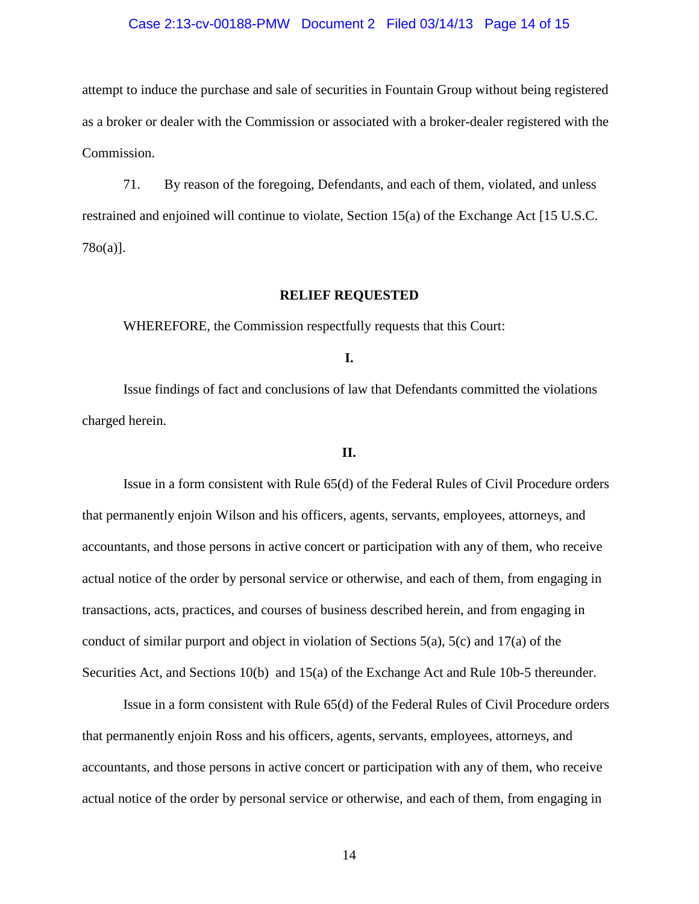## Case 2:13-cv-00188-PMW Document 2 Filed 03/14/13 Page 14 of 15

attempt to induce the purchase and sale of securities in Fountain Group without being registered as a broker or dealer with the Commission or associated with a broker-dealer registered with the Commission.

71. By reason of the foregoing, Defendants, and each of them, violated, and unless restrained and enjoined will continue to violate, Section 15(a) of the Exchange Act [15 U.S.C. 78o(a)].

## **RELIEF REQUESTED**

WHEREFORE, the Commission respectfully requests that this Court:

**I.**

Issue findings of fact and conclusions of law that Defendants committed the violations charged herein.

#### **II.**

Issue in a form consistent with Rule 65(d) of the Federal Rules of Civil Procedure orders that permanently enjoin Wilson and his officers, agents, servants, employees, attorneys, and accountants, and those persons in active concert or participation with any of them, who receive actual notice of the order by personal service or otherwise, and each of them, from engaging in transactions, acts, practices, and courses of business described herein, and from engaging in conduct of similar purport and object in violation of Sections 5(a), 5(c) and 17(a) of the Securities Act, and Sections 10(b) and 15(a) of the Exchange Act and Rule 10b-5 thereunder.

Issue in a form consistent with Rule 65(d) of the Federal Rules of Civil Procedure orders that permanently enjoin Ross and his officers, agents, servants, employees, attorneys, and accountants, and those persons in active concert or participation with any of them, who receive actual notice of the order by personal service or otherwise, and each of them, from engaging in